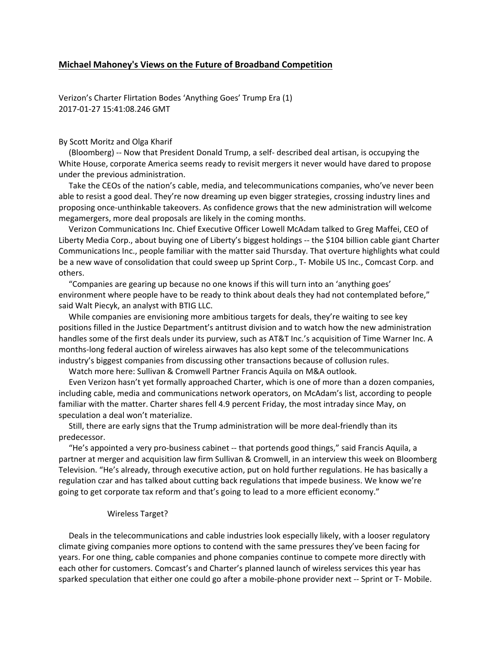# **Michael Mahoney's Views on the Future of Broadband Competition**

Verizon's Charter Flirtation Bodes 'Anything Goes' Trump Era (1) 2017-01-27 15:41:08.246 GMT

#### By Scott Moritz and Olga Kharif

 (Bloomberg) -- Now that President Donald Trump, a self- described deal artisan, is occupying the White House, corporate America seems ready to revisit mergers it never would have dared to propose under the previous administration.

 Take the CEOs of the nation's cable, media, and telecommunications companies, who've never been able to resist a good deal. They're now dreaming up even bigger strategies, crossing industry lines and proposing once-unthinkable takeovers. As confidence grows that the new administration will welcome megamergers, more deal proposals are likely in the coming months.

 Verizon Communications Inc. Chief Executive Officer Lowell McAdam talked to Greg Maffei, CEO of Liberty Media Corp., about buying one of Liberty's biggest holdings -- the \$104 billion cable giant Charter Communications Inc., people familiar with the matter said Thursday. That overture highlights what could be a new wave of consolidation that could sweep up Sprint Corp., T- Mobile US Inc., Comcast Corp. and others.

 "Companies are gearing up because no one knows if this will turn into an 'anything goes' environment where people have to be ready to think about deals they had not contemplated before," said Walt Piecyk, an analyst with BTIG LLC.

 While companies are envisioning more ambitious targets for deals, they're waiting to see key positions filled in the Justice Department's antitrust division and to watch how the new administration handles some of the first deals under its purview, such as AT&T Inc.'s acquisition of Time Warner Inc. A months-long federal auction of wireless airwaves has also kept some of the telecommunications industry's biggest companies from discussing other transactions because of collusion rules.

Watch more here: Sullivan & Cromwell Partner Francis Aquila on M&A outlook.

 Even Verizon hasn't yet formally approached Charter, which is one of more than a dozen companies, including cable, media and communications network operators, on McAdam's list, according to people familiar with the matter. Charter shares fell 4.9 percent Friday, the most intraday since May, on speculation a deal won't materialize.

 Still, there are early signs that the Trump administration will be more deal-friendly than its predecessor.

 "He's appointed a very pro-business cabinet -- that portends good things," said Francis Aquila, a partner at merger and acquisition law firm Sullivan & Cromwell, in an interview this week on Bloomberg Television. "He's already, through executive action, put on hold further regulations. He has basically a regulation czar and has talked about cutting back regulations that impede business. We know we're going to get corporate tax reform and that's going to lead to a more efficient economy."

### Wireless Target?

 Deals in the telecommunications and cable industries look especially likely, with a looser regulatory climate giving companies more options to contend with the same pressures they've been facing for years. For one thing, cable companies and phone companies continue to compete more directly with each other for customers. Comcast's and Charter's planned launch of wireless services this year has sparked speculation that either one could go after a mobile-phone provider next -- Sprint or T- Mobile.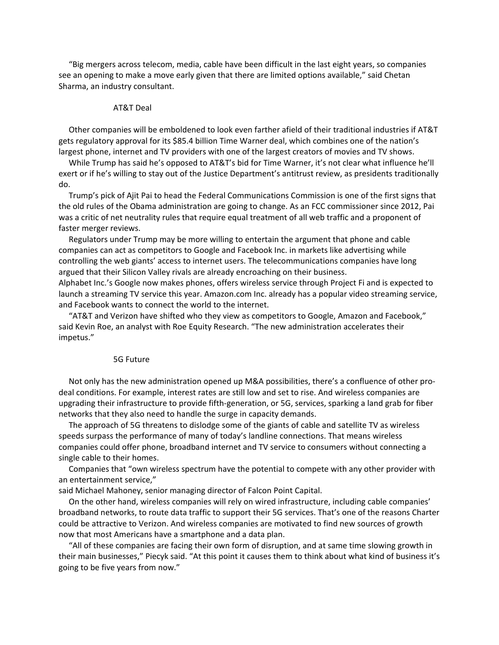"Big mergers across telecom, media, cable have been difficult in the last eight years, so companies see an opening to make a move early given that there are limited options available," said Chetan Sharma, an industry consultant.

## AT&T Deal

 Other companies will be emboldened to look even farther afield of their traditional industries if AT&T gets regulatory approval for its \$85.4 billion Time Warner deal, which combines one of the nation's largest phone, internet and TV providers with one of the largest creators of movies and TV shows.

While Trump has said he's opposed to AT&T's bid for Time Warner, it's not clear what influence he'll exert or if he's willing to stay out of the Justice Department's antitrust review, as presidents traditionally do.

 Trump's pick of Ajit Pai to head the Federal Communications Commission is one of the first signs that the old rules of the Obama administration are going to change. As an FCC commissioner since 2012, Pai was a critic of net neutrality rules that require equal treatment of all web traffic and a proponent of faster merger reviews.

 Regulators under Trump may be more willing to entertain the argument that phone and cable companies can act as competitors to Google and Facebook Inc. in markets like advertising while controlling the web giants' access to internet users. The telecommunications companies have long argued that their Silicon Valley rivals are already encroaching on their business.

Alphabet Inc.'s Google now makes phones, offers wireless service through Project Fi and is expected to launch a streaming TV service this year. Amazon.com Inc. already has a popular video streaming service, and Facebook wants to connect the world to the internet.

 "AT&T and Verizon have shifted who they view as competitors to Google, Amazon and Facebook," said Kevin Roe, an analyst with Roe Equity Research. "The new administration accelerates their impetus."

## 5G Future

 Not only has the new administration opened up M&A possibilities, there's a confluence of other prodeal conditions. For example, interest rates are still low and set to rise. And wireless companies are upgrading their infrastructure to provide fifth-generation, or 5G, services, sparking a land grab for fiber networks that they also need to handle the surge in capacity demands.

 The approach of 5G threatens to dislodge some of the giants of cable and satellite TV as wireless speeds surpass the performance of many of today's landline connections. That means wireless companies could offer phone, broadband internet and TV service to consumers without connecting a single cable to their homes.

 Companies that "own wireless spectrum have the potential to compete with any other provider with an entertainment service,"

said Michael Mahoney, senior managing director of Falcon Point Capital.

 On the other hand, wireless companies will rely on wired infrastructure, including cable companies' broadband networks, to route data traffic to support their 5G services. That's one of the reasons Charter could be attractive to Verizon. And wireless companies are motivated to find new sources of growth now that most Americans have a smartphone and a data plan.

 "All of these companies are facing their own form of disruption, and at same time slowing growth in their main businesses," Piecyk said. "At this point it causes them to think about what kind of business it's going to be five years from now."